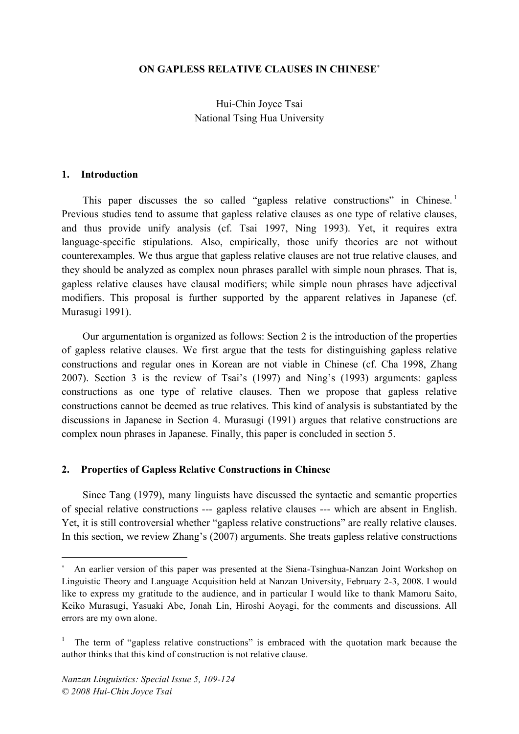### **ON GAPLESS RELATIVE CLAUSES IN CHINESE**<sup>∗</sup>

Hui-Chin Joyce Tsai National Tsing Hua University

#### **1. Introduction**

This paper discusses the so called "gapless relative constructions" in Chinese.<sup>1</sup> Previous studies tend to assume that gapless relative clauses as one type of relative clauses, and thus provide unify analysis (cf. Tsai 1997, Ning 1993). Yet, it requires extra language-specific stipulations. Also, empirically, those unify theories are not without counterexamples. We thus argue that gapless relative clauses are not true relative clauses, and they should be analyzed as complex noun phrases parallel with simple noun phrases. That is, gapless relative clauses have clausal modifiers; while simple noun phrases have adjectival modifiers. This proposal is further supported by the apparent relatives in Japanese (cf. Murasugi 1991).

Our argumentation is organized as follows: Section 2 is the introduction of the properties of gapless relative clauses. We first argue that the tests for distinguishing gapless relative constructions and regular ones in Korean are not viable in Chinese (cf. Cha 1998, Zhang 2007). Section 3 is the review of Tsai's (1997) and Ning's (1993) arguments: gapless constructions as one type of relative clauses. Then we propose that gapless relative constructions cannot be deemed as true relatives. This kind of analysis is substantiated by the discussions in Japanese in Section 4. Murasugi (1991) argues that relative constructions are complex noun phrases in Japanese. Finally, this paper is concluded in section 5.

#### **2. Properties of Gapless Relative Constructions in Chinese**

Since Tang (1979), many linguists have discussed the syntactic and semantic properties of special relative constructions --- gapless relative clauses --- which are absent in English. Yet, it is still controversial whether "gapless relative constructions" are really relative clauses. In this section, we review Zhang's (2007) arguments. She treats gapless relative constructions

 $\overline{a}$ 

An earlier version of this paper was presented at the Siena-Tsinghua-Nanzan Joint Workshop on Linguistic Theory and Language Acquisition held at Nanzan University, February 2-3, 2008. I would like to express my gratitude to the audience, and in particular I would like to thank Mamoru Saito, Keiko Murasugi, Yasuaki Abe, Jonah Lin, Hiroshi Aoyagi, for the comments and discussions. All errors are my own alone.

The term of "gapless relative constructions" is embraced with the quotation mark because the author thinks that this kind of construction is not relative clause.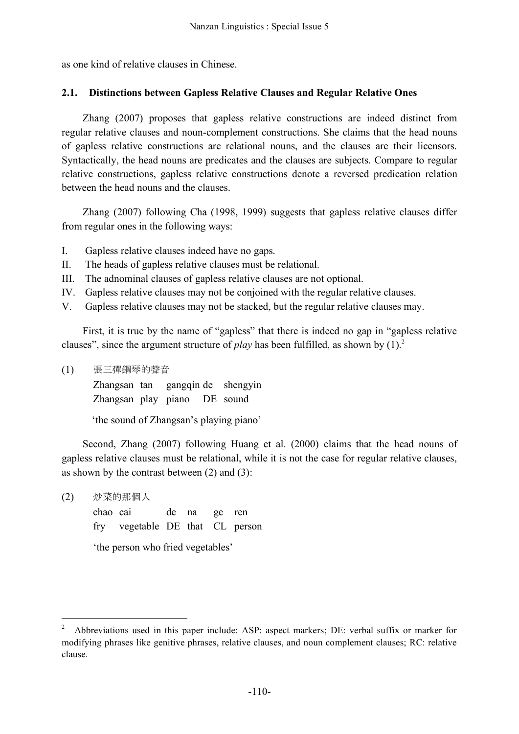as one kind of relative clauses in Chinese.

### **2.1. Distinctions between Gapless Relative Clauses and Regular Relative Ones**

Zhang (2007) proposes that gapless relative constructions are indeed distinct from regular relative clauses and noun-complement constructions. She claims that the head nouns of gapless relative constructions are relational nouns, and the clauses are their licensors. Syntactically, the head nouns are predicates and the clauses are subjects. Compare to regular relative constructions, gapless relative constructions denote a reversed predication relation between the head nouns and the clauses.

Zhang (2007) following Cha (1998, 1999) suggests that gapless relative clauses differ from regular ones in the following ways:

- I. Gapless relative clauses indeed have no gaps.
- II. The heads of gapless relative clauses must be relational.
- III. The adnominal clauses of gapless relative clauses are not optional.
- IV. Gapless relative clauses may not be conjoined with the regular relative clauses.
- V. Gapless relative clauses may not be stacked, but the regular relative clauses may.

First, it is true by the name of "gapless" that there is indeed no gap in "gapless relative clauses", since the argument structure of *play* has been fulfilled, as shown by (1). 2

(1) 張三彈鋼琴的聲音

Zhangsan tan gangqin de shengyin Zhangsan play piano DE sound

'the sound of Zhangsan's playing piano'

Second, Zhang (2007) following Huang et al. (2000) claims that the head nouns of gapless relative clauses must be relational, while it is not the case for regular relative clauses, as shown by the contrast between (2) and (3):

(2) 炒菜的那個人

chao cai de na ge ren fry vegetable DE that CL person 'the person who fried vegetables'

 <sup>2</sup> Abbreviations used in this paper include: ASP: aspect markers; DE: verbal suffix or marker for modifying phrases like genitive phrases, relative clauses, and noun complement clauses; RC: relative clause.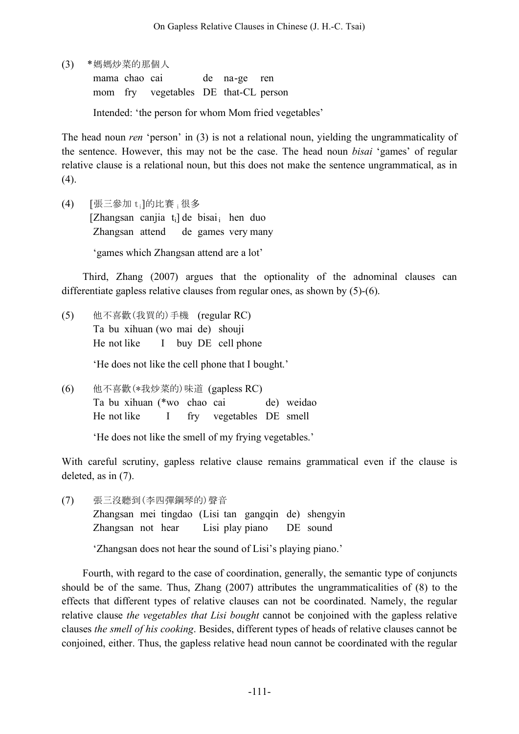(3) \*媽媽炒菜的那個人

mama chao cai de na-ge ren mom fry vegetables DE that-CL person

Intended: 'the person for whom Mom fried vegetables'

The head noun *ren* 'person' in (3) is not a relational noun, yielding the ungrammaticality of the sentence. However, this may not be the case. The head noun *bisai* 'games' of regular relative clause is a relational noun, but this does not make the sentence ungrammatical, as in  $(4)$ .

(4) [張三參加 ti]的比賽 i很多 [Zhangsan canjia  $t_i$ ] de bisai<sub>i</sub> hen duo Zhangsan attend de games very many 'games which Zhangsan attend are a lot'

Third, Zhang (2007) argues that the optionality of the adnominal clauses can differentiate gapless relative clauses from regular ones, as shown by (5)-(6).

- (5) 他不喜歡(我買的)手機 (regular RC) Ta bu xihuan (wo mai de) shouji He not like I buy DE cell phone 'He does not like the cell phone that I bought.'
- (6) 他不喜歡(\*我炒菜的)味道 (gapless RC) Ta bu xihuan (\*wo chao cai de) weidao He not like I fry vegetables DE smell

'He does not like the smell of my frying vegetables.'

With careful scrutiny, gapless relative clause remains grammatical even if the clause is deleted, as in (7).

(7) 張三沒聽到(李四彈鋼琴的)聲音 Zhangsan mei tingdao (Lisi tan gangqin de) shengyin Zhangsan not hear Lisi play piano DE sound

'Zhangsan does not hear the sound of Lisi's playing piano.'

Fourth, with regard to the case of coordination, generally, the semantic type of conjuncts should be of the same. Thus, Zhang (2007) attributes the ungrammaticalities of (8) to the effects that different types of relative clauses can not be coordinated. Namely, the regular relative clause *the vegetables that Lisi bought* cannot be conjoined with the gapless relative clauses *the smell of his cooking*. Besides, different types of heads of relative clauses cannot be conjoined, either. Thus, the gapless relative head noun cannot be coordinated with the regular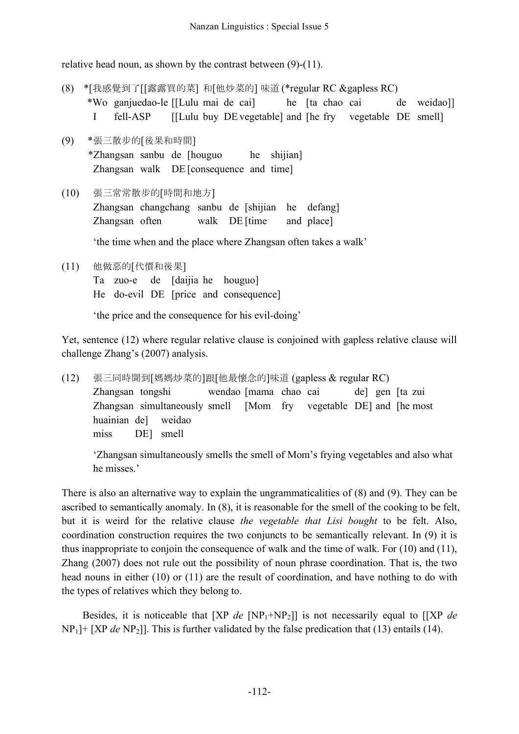relative head noun, as shown by the contrast between (9)-(11).

- (8) \*[我感覺到了[[露露買的菜] 和[他炒菜的] 味道 (\*regular RC &gapless RC) \*Wo ganjuedao-le [[Lulu mai de cai] he [ta chao cai de weidao]] I fell-ASP [[Lulu buy DE vegetable] and [he fry vegetable DE smell]
- (9) \*張三散步的[後果和時間] \*Zhangsan sanbu de [houguo he shijian] Zhangsan walk DE [consequence and time]
- (10) 張三常常散步的[時間和地方] Zhangsan changchang sanbu de [shijian he defang] Zhangsan often walk DE [time and place] 'the time when and the place where Zhangsan often takes a walk'
- (11) 他做惡的[代價和後果] Ta zuo-e de [daijia he houguo] He do-evil DE [price and consequence]

'the price and the consequence for his evil-doing'

Yet, sentence (12) where regular relative clause is conjoined with gapless relative clause will challenge Zhang's (2007) analysis.

(12) 張三同時聞到[媽媽炒菜的]跟[他最懷念的]味道 (gapless & regular RC) Zhangsan tongshi wendao [mama chao cai de] gen [ta zui Zhangsan simultaneously smell [Mom fry vegetable DE] and [he most huainian de] weidao miss DE] smell

'Zhangsan simultaneously smells the smell of Mom's frying vegetables and also what he misses.'

There is also an alternative way to explain the ungrammaticalities of (8) and (9). They can be ascribed to semantically anomaly. In (8), it is reasonable for the smell of the cooking to be felt, but it is weird for the relative clause *the vegetable that Lisi bought* to be felt. Also, coordination construction requires the two conjuncts to be semantically relevant. In (9) it is thus inappropriate to conjoin the consequence of walk and the time of walk. For (10) and (11), Zhang (2007) does not rule out the possibility of noun phrase coordination. That is, the two head nouns in either (10) or (11) are the result of coordination, and have nothing to do with the types of relatives which they belong to.

Besides, it is noticeable that [XP *de* [NP1+NP2]] is not necessarily equal to [[XP *de*  $NP<sub>1</sub>$  |+ [XP *de* NP<sub>2</sub>]]. This is further validated by the false predication that (13) entails (14).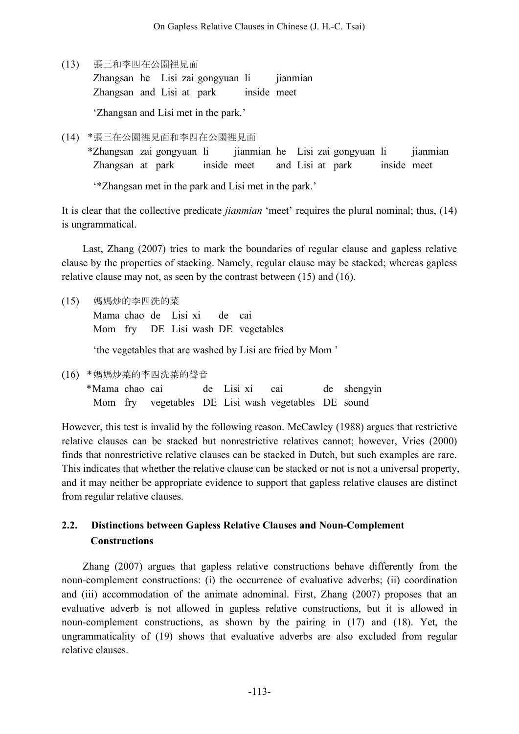(13) 張三和李四在公園裡見面

Zhangsan he Lisi zai gongyuan li jianmian Zhangsan and Lisi at park inside meet

'Zhangsan and Lisi met in the park.'

(14) \*張三在公園裡見面和李四在公園裡見面

\*Zhangsan zai gongyuan li jianmian he Lisi zai gongyuan li jianmian Zhangsan at park inside meet and Lisi at park inside meet

'\*Zhangsan met in the park and Lisi met in the park.'

It is clear that the collective predicate *jianmian* 'meet' requires the plural nominal; thus, (14) is ungrammatical.

Last, Zhang (2007) tries to mark the boundaries of regular clause and gapless relative clause by the properties of stacking. Namely, regular clause may be stacked; whereas gapless relative clause may not, as seen by the contrast between (15) and (16).

(15) 媽媽炒的李四洗的菜

Mama chao de Lisi xi de cai Mom fry DE Lisi wash DE vegetables

'the vegetables that are washed by Lisi are fried by Mom '

(16) \*媽媽炒菜的李四洗菜的聲音

\*Mama chao cai de Lisi xi cai de shengyin Mom fry vegetables DE Lisi wash vegetables DE sound

However, this test is invalid by the following reason. McCawley (1988) argues that restrictive relative clauses can be stacked but nonrestrictive relatives cannot; however, Vries (2000) finds that nonrestrictive relative clauses can be stacked in Dutch, but such examples are rare. This indicates that whether the relative clause can be stacked or not is not a universal property, and it may neither be appropriate evidence to support that gapless relative clauses are distinct from regular relative clauses.

# **2.2. Distinctions between Gapless Relative Clauses and Noun-Complement Constructions**

Zhang (2007) argues that gapless relative constructions behave differently from the noun-complement constructions: (i) the occurrence of evaluative adverbs; (ii) coordination and (iii) accommodation of the animate adnominal. First, Zhang (2007) proposes that an evaluative adverb is not allowed in gapless relative constructions, but it is allowed in noun-complement constructions, as shown by the pairing in (17) and (18). Yet, the ungrammaticality of (19) shows that evaluative adverbs are also excluded from regular relative clauses.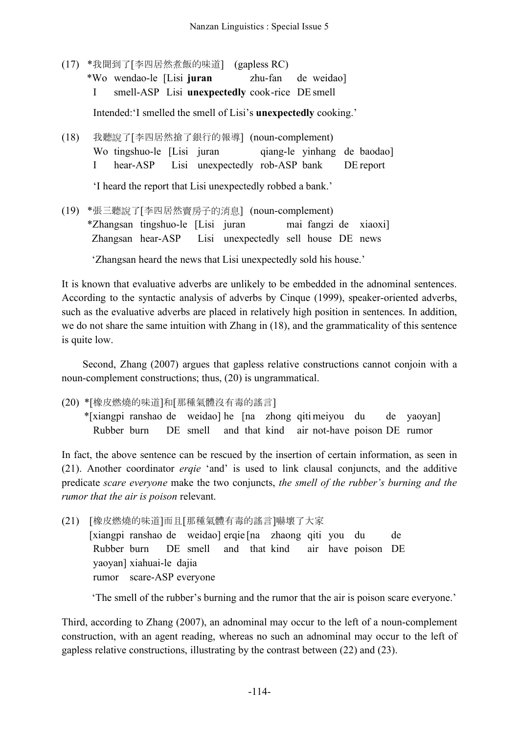(17) \*我聞到了[李四居然煮飯的味道] (gapless RC)

\*Wo wendao-le [Lisi **juran** zhu-fan de weidao]

I smell-ASP Lisi **unexpectedly** cook-rice DE smell

Intended:'I smelled the smell of Lisi's **unexpectedly** cooking.'

(18) 我聽說了[李四居然搶了銀行的報導] (noun-complement) Wo tingshuo-le [Lisi juran qiang-le yinhang de baodao] I hear-ASP Lisi unexpectedly rob-ASP bank DE report

'I heard the report that Lisi unexpectedly robbed a bank.'

(19) \*張三聽說了[李四居然賣房子的消息] (noun-complement) \*Zhangsan tingshuo-le [Lisi juran mai fangzi de xiaoxi] Zhangsan hear-ASP Lisi unexpectedly sell house DE news

'Zhangsan heard the news that Lisi unexpectedly sold his house.'

It is known that evaluative adverbs are unlikely to be embedded in the adnominal sentences. According to the syntactic analysis of adverbs by Cinque (1999), speaker-oriented adverbs, such as the evaluative adverbs are placed in relatively high position in sentences. In addition, we do not share the same intuition with Zhang in (18), and the grammaticality of this sentence is quite low.

Second, Zhang (2007) argues that gapless relative constructions cannot conjoin with a noun-complement constructions; thus, (20) is ungrammatical.

(20) \*[橡皮燃燒的味道]和[那種氣體沒有毒的謠言]

\*[xiangpi ranshao de weidao] he [na zhong qiti meiyou du de yaoyan] Rubber burn DE smell and that kind air not-have poison DE rumor

In fact, the above sentence can be rescued by the insertion of certain information, as seen in (21). Another coordinator *erqie* 'and' is used to link clausal conjuncts, and the additive predicate *scare everyone* make the two conjuncts, *the smell of the rubber's burning and the rumor that the air is poison* relevant.

(21) [橡皮燃燒的味道]而且[那種氣體有毒的謠言]嚇壞了大家 [xiangpi ranshao de weidao] erqie [na zhaong qiti you du de Rubber burn DE smell and that kind air have poison DE yaoyan] xiahuai-le dajia rumor scare-ASP everyone

'The smell of the rubber's burning and the rumor that the air is poison scare everyone.'

Third, according to Zhang (2007), an adnominal may occur to the left of a noun-complement construction, with an agent reading, whereas no such an adnominal may occur to the left of gapless relative constructions, illustrating by the contrast between (22) and (23).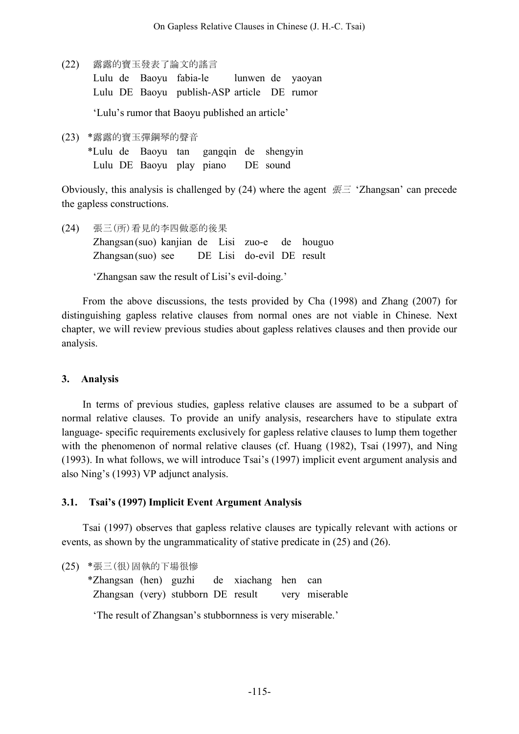(22) 露露的寶玉發表了論文的謠言

Lulu de Baoyu fabia-le lunwen de yaoyan Lulu DE Baoyu publish-ASP article DE rumor

'Lulu's rumor that Baoyu published an article'

(23) \*露露的寶玉彈鋼琴的聲音 \*Lulu de Baoyu tan gangqin de shengyin Lulu DE Baoyu play piano DE sound

Obviously, this analysis is challenged by (24) where the agent  $\overline{E}$  'Zhangsan' can precede the gapless constructions.

(24) 張三(所)看見的李四做惡的後果 Zhangsan(suo) kanjian de Lisi zuo-e de houguo Zhangsan(suo) see DE Lisi do-evil DE result

'Zhangsan saw the result of Lisi's evil-doing.'

From the above discussions, the tests provided by Cha (1998) and Zhang (2007) for distinguishing gapless relative clauses from normal ones are not viable in Chinese. Next chapter, we will review previous studies about gapless relatives clauses and then provide our analysis.

### **3. Analysis**

In terms of previous studies, gapless relative clauses are assumed to be a subpart of normal relative clauses. To provide an unify analysis, researchers have to stipulate extra language- specific requirements exclusively for gapless relative clauses to lump them together with the phenomenon of normal relative clauses (cf. Huang (1982), Tsai (1997), and Ning (1993). In what follows, we will introduce Tsai's (1997) implicit event argument analysis and also Ning's (1993) VP adjunct analysis.

### **3.1. Tsai's (1997) Implicit Event Argument Analysis**

Tsai (1997) observes that gapless relative clauses are typically relevant with actions or events, as shown by the ungrammaticality of stative predicate in (25) and (26).

(25) \*張三(很)固執的下場很慘

\*Zhangsan (hen) guzhi de xiachang hen can Zhangsan (very) stubborn DE result very miserable

'The result of Zhangsan's stubbornness is very miserable.'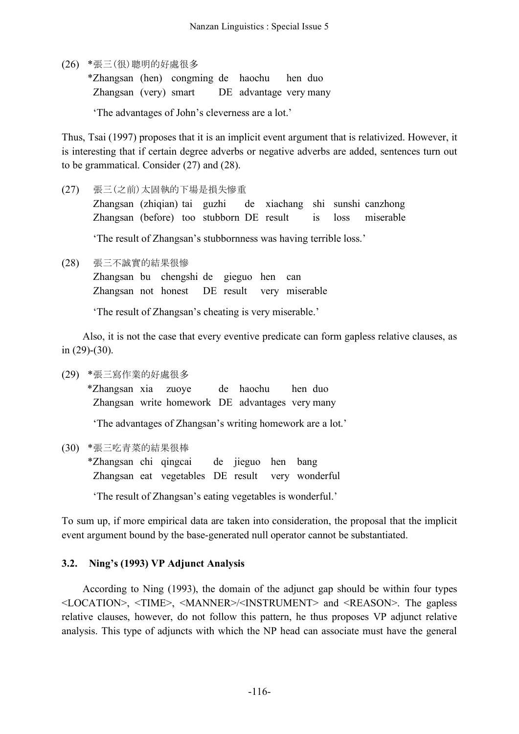(26) \*張三(很)聰明的好處很多

\*Zhangsan (hen) congming de haochu hen duo Zhangsan (very) smart DE advantage very many

'The advantages of John's cleverness are a lot.'

Thus, Tsai (1997) proposes that it is an implicit event argument that is relativized. However, it is interesting that if certain degree adverbs or negative adverbs are added, sentences turn out to be grammatical. Consider (27) and (28).

(27) 張三(之前)太固執的下場是損失慘重

Zhangsan (zhiqian) tai guzhi de xiachang shi sunshi canzhong Zhangsan (before) too stubborn DE result is loss miserable

'The result of Zhangsan's stubbornness was having terrible loss.'

(28) 張三不誠實的結果很慘

Zhangsan bu chengshi de gieguo hen can Zhangsan not honest DE result very miserable

'The result of Zhangsan's cheating is very miserable.'

Also, it is not the case that every eventive predicate can form gapless relative clauses, as in (29)-(30).

(29) \*張三寫作業的好處很多

\*Zhangsan xia zuoye de haochu hen duo Zhangsan write homework DE advantages very many

'The advantages of Zhangsan's writing homework are a lot.'

(30) \*張三吃青菜的結果很棒

\*Zhangsan chi qingcai de jieguo hen bang Zhangsan eat vegetables DE result very wonderful

'The result of Zhangsan's eating vegetables is wonderful.'

To sum up, if more empirical data are taken into consideration, the proposal that the implicit event argument bound by the base-generated null operator cannot be substantiated.

# **3.2. Ning's (1993) VP Adjunct Analysis**

According to Ning (1993), the domain of the adjunct gap should be within four types <LOCATION>, <TIME>, <MANNER>/<INSTRUMENT> and <REASON>. The gapless relative clauses, however, do not follow this pattern, he thus proposes VP adjunct relative analysis. This type of adjuncts with which the NP head can associate must have the general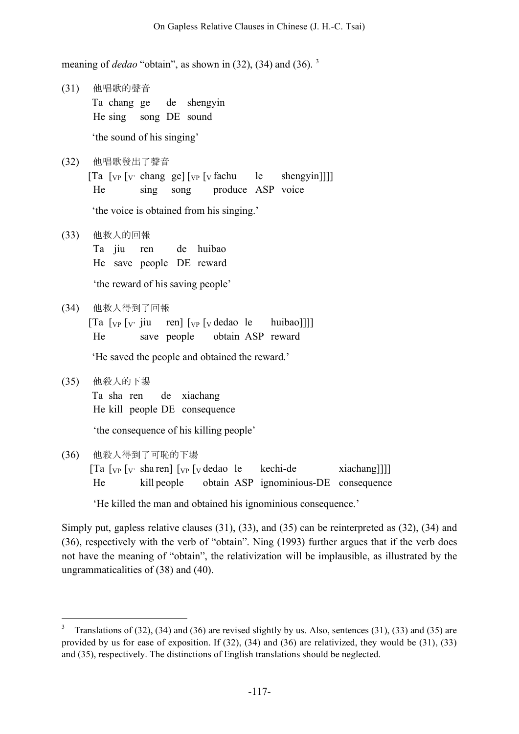meaning of *dedao* "obtain", as shown in (32), (34) and (36). <sup>3</sup>

(31) 他唱歌的聲音 Ta chang ge de shengyin He sing song DE sound

'the sound of his singing'

(32) 他唱歌發出了聲音  $[Ta \mid v_P \mid v_C \rangle$  chang ge $[\mid v_P \mid v_C \rangle$  fachu le shengyin]]] He sing song produce ASP voice

'the voice is obtained from his singing.'

- (33) 他救人的回報 Ta jiu ren de huibao He save people DE reward 'the reward of his saving people'
- (34) 他救人得到了回報

 $[Ta \mid_{VP} [v \text{ i}u \text{ real}] \mid_{VP} [v \text{ dedao} \mid e \text{ huibao}]]]$ He save people obtain ASP reward

'He saved the people and obtained the reward.'

(35) 他殺人的下場 Ta sha ren de xiachang He kill people DE consequence

'the consequence of his killing people'

(36) 他殺人得到了可恥的下場

|    | $\lceil \text{Ta} \rceil$ $\lceil v \rceil$ $\lceil v \rceil$ $\lceil v \rceil$ $\lceil v \rceil$ $\lceil v \rceil$ $\lceil v \rceil$ dedao le |  | kechi-de                              | xiachang]]] |
|----|------------------------------------------------------------------------------------------------------------------------------------------------|--|---------------------------------------|-------------|
| He | kill people                                                                                                                                    |  | obtain ASP ignominious-DE consequence |             |

'He killed the man and obtained his ignominious consequence.'

Simply put, gapless relative clauses (31), (33), and (35) can be reinterpreted as (32), (34) and (36), respectively with the verb of "obtain". Ning (1993) further argues that if the verb does not have the meaning of "obtain", the relativization will be implausible, as illustrated by the ungrammaticalities of (38) and (40).

<sup>&</sup>lt;sup>3</sup> Translations of (32), (34) and (36) are revised slightly by us. Also, sentences (31), (33) and (35) are provided by us for ease of exposition. If (32), (34) and (36) are relativized, they would be (31), (33) and (35), respectively. The distinctions of English translations should be neglected.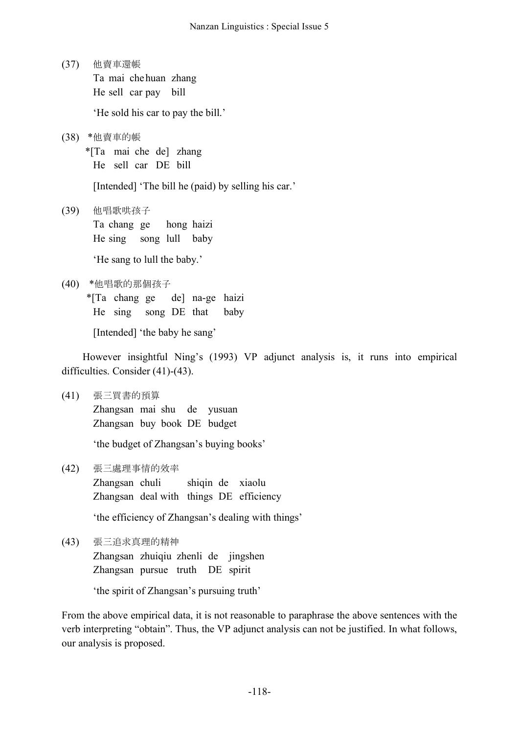(37) 他賣車還帳 Ta mai chehuan zhang He sell car pay bill

'He sold his car to pay the bill.'

(38) \*他賣車的帳

\*[Ta mai che de] zhang He sell car DE bill

[Intended] 'The bill he (paid) by selling his car.'

(39) 他唱歌哄孩子 Ta chang ge hong haizi He sing song lull baby

'He sang to lull the baby.'

(40) \*他唱歌的那個孩子

\*[Ta chang ge de] na-ge haizi He sing song DE that baby

[Intended] 'the baby he sang'

However insightful Ning's (1993) VP adjunct analysis is, it runs into empirical difficulties. Consider (41)-(43).

(41) 張三買書的預算

Zhangsan mai shu de yusuan Zhangsan buy book DE budget

'the budget of Zhangsan's buying books'

(42) 張三處理事情的效率

Zhangsan chuli shiqin de xiaolu Zhangsan deal with things DE efficiency

'the efficiency of Zhangsan's dealing with things'

(43) 張三追求真理的精神 Zhangsan zhuiqiu zhenli de jingshen Zhangsan pursue truth DE spirit

'the spirit of Zhangsan's pursuing truth'

From the above empirical data, it is not reasonable to paraphrase the above sentences with the verb interpreting "obtain". Thus, the VP adjunct analysis can not be justified. In what follows, our analysis is proposed.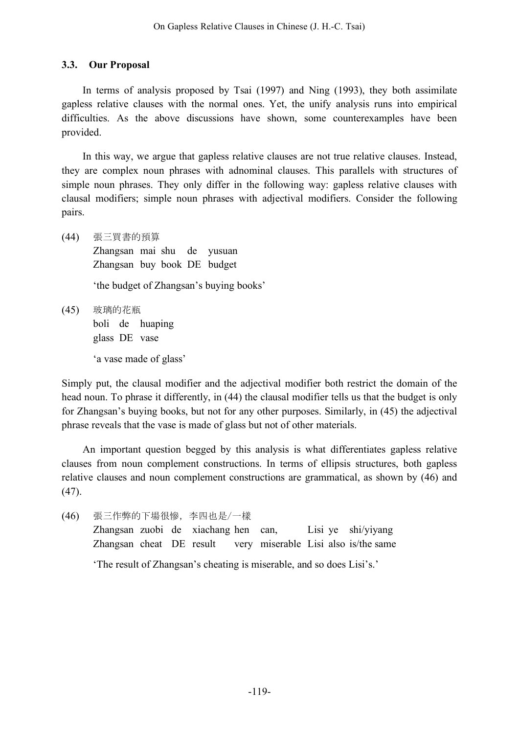## **3.3. Our Proposal**

In terms of analysis proposed by Tsai (1997) and Ning (1993), they both assimilate gapless relative clauses with the normal ones. Yet, the unify analysis runs into empirical difficulties. As the above discussions have shown, some counterexamples have been provided.

In this way, we argue that gapless relative clauses are not true relative clauses. Instead, they are complex noun phrases with adnominal clauses. This parallels with structures of simple noun phrases. They only differ in the following way: gapless relative clauses with clausal modifiers; simple noun phrases with adjectival modifiers. Consider the following pairs.

(44) 張三買書的預算 Zhangsan mai shu de yusuan Zhangsan buy book DE budget 'the budget of Zhangsan's buying books' (45) 玻璃的花瓶 boli de huaping glass DE vase 'a vase made of glass'

Simply put, the clausal modifier and the adjectival modifier both restrict the domain of the head noun. To phrase it differently, in (44) the clausal modifier tells us that the budget is only for Zhangsan's buying books, but not for any other purposes. Similarly, in (45) the adjectival phrase reveals that the vase is made of glass but not of other materials.

An important question begged by this analysis is what differentiates gapless relative clauses from noun complement constructions. In terms of ellipsis structures, both gapless relative clauses and noun complement constructions are grammatical, as shown by (46) and (47).

(46) 張三作弊的下場很慘,李四也是/一樣 Zhangsan zuobi de xiachang hen can, Lisi ye shi/yiyang Zhangsan cheat DE result very miserable Lisi also is/the same 'The result of Zhangsan's cheating is miserable, and so does Lisi's.'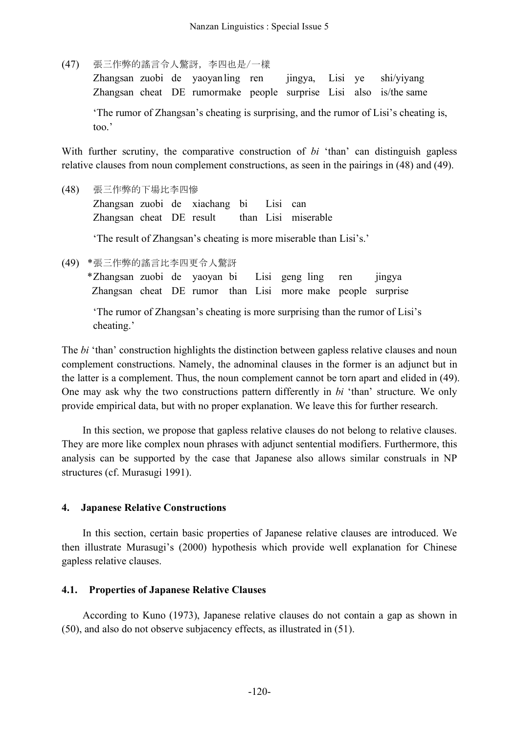(47) 張三作弊的謠言令人驚訝,李四也是/一樣

Zhangsan zuobi de yaoyanling ren jingya, Lisi ye shi/yiyang Zhangsan cheat DE rumormake people surprise Lisi also is/the same 'The rumor of Zhangsan's cheating is surprising, and the rumor of Lisi's cheating is, too.'

With further scrutiny, the comparative construction of *bi* 'than' can distinguish gapless relative clauses from noun complement constructions, as seen in the pairings in (48) and (49).

(48) 張三作弊的下場比李四慘 Zhangsan zuobi de xiachang bi Lisi can Zhangsan cheat DE result than Lisi miserable 'The result of Zhangsan's cheating is more miserable than Lisi's.'

(49) \*張三作弊的謠言比李四更令人驚訝

\*Zhangsan zuobi de yaoyan bi Lisi geng ling ren jingya Zhangsan cheat DE rumor than Lisi more make people surprise

'The rumor of Zhangsan's cheating is more surprising than the rumor of Lisi's cheating.'

The *bi* 'than' construction highlights the distinction between gapless relative clauses and noun complement constructions. Namely, the adnominal clauses in the former is an adjunct but in the latter is a complement. Thus, the noun complement cannot be torn apart and elided in (49). One may ask why the two constructions pattern differently in *bi* 'than' structure. We only provide empirical data, but with no proper explanation. We leave this for further research.

In this section, we propose that gapless relative clauses do not belong to relative clauses. They are more like complex noun phrases with adjunct sentential modifiers. Furthermore, this analysis can be supported by the case that Japanese also allows similar construals in NP structures (cf. Murasugi 1991).

# **4. Japanese Relative Constructions**

In this section, certain basic properties of Japanese relative clauses are introduced. We then illustrate Murasugi's (2000) hypothesis which provide well explanation for Chinese gapless relative clauses.

# **4.1. Properties of Japanese Relative Clauses**

According to Kuno (1973), Japanese relative clauses do not contain a gap as shown in (50), and also do not observe subjacency effects, as illustrated in (51).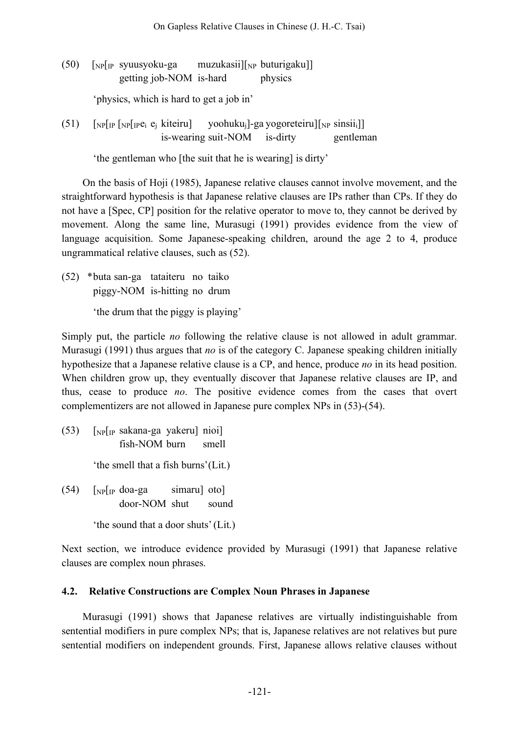$(50)$  [NP[IP syuusyoku-ga muzukasii][NP buturigaku]] getting job-NOM is-hard physics

'physics, which is hard to get a job in'

(51)  $\lceil NP[\text{IP} \rceil] \lceil P \text{P} \rceil \lceil P \rceil$  kiteiru] yoohuku<sub>i</sub>]-ga yogoreteiru] $\lceil NP \rceil$  sinsii<sub>i</sub>]] is-wearing suit-NOM is-dirty gentleman

'the gentleman who [the suit that he is wearing] is dirty'

On the basis of Hoji (1985), Japanese relative clauses cannot involve movement, and the straightforward hypothesis is that Japanese relative clauses are IPs rather than CPs. If they do not have a [Spec, CP] position for the relative operator to move to, they cannot be derived by movement. Along the same line, Murasugi (1991) provides evidence from the view of language acquisition. Some Japanese-speaking children, around the age 2 to 4, produce ungrammatical relative clauses, such as (52).

(52) \*buta san-ga tataiteru no taiko piggy-NOM is-hitting no drum

'the drum that the piggy is playing'

Simply put, the particle *no* following the relative clause is not allowed in adult grammar. Murasugi (1991) thus argues that *no* is of the category C. Japanese speaking children initially hypothesize that a Japanese relative clause is a CP, and hence, produce *no* in its head position. When children grow up, they eventually discover that Japanese relative clauses are IP, and thus, cease to produce *no*. The positive evidence comes from the cases that overt complementizers are not allowed in Japanese pure complex NPs in (53)-(54).

- (53) [NP[IP sakana-ga yakeru] nioi] fish-NOM burn smell 'the smell that a fish burns'(Lit.)
- $(54)$  [NP[IP doa-ga simaru] oto] door-NOM shut sound

'the sound that a door shuts'(Lit.)

Next section, we introduce evidence provided by Murasugi (1991) that Japanese relative clauses are complex noun phrases.

# **4.2. Relative Constructions are Complex Noun Phrases in Japanese**

Murasugi (1991) shows that Japanese relatives are virtually indistinguishable from sentential modifiers in pure complex NPs; that is, Japanese relatives are not relatives but pure sentential modifiers on independent grounds. First, Japanese allows relative clauses without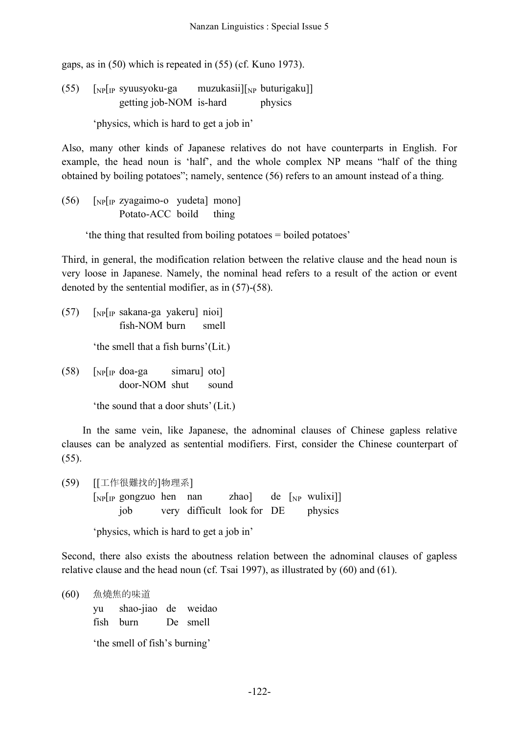gaps, as in (50) which is repeated in (55) (cf. Kuno 1973).

(55)  $\lceil NP \rceil$ [IP syuusyoku-ga muzukasii] $\lceil NP \rceil$  buturigaku]] getting job-NOM is-hard physics

'physics, which is hard to get a job in'

Also, many other kinds of Japanese relatives do not have counterparts in English. For example, the head noun is 'half', and the whole complex NP means "half of the thing obtained by boiling potatoes"; namely, sentence (56) refers to an amount instead of a thing.

(56) [NP[IP zyagaimo-o yudeta] mono] Potato-ACC boild thing

'the thing that resulted from boiling potatoes = boiled potatoes'

Third, in general, the modification relation between the relative clause and the head noun is very loose in Japanese. Namely, the nominal head refers to a result of the action or event denoted by the sentential modifier, as in (57)-(58).

- (57) [NP[IP sakana-ga yakeru] nioi] fish-NOM burn smell 'the smell that a fish burns'(Lit.)
- $(58)$  [NP[IP doa-ga simaru] oto] door-NOM shut sound

'the sound that a door shuts'(Lit.)

In the same vein, like Japanese, the adnominal clauses of Chinese gapless relative clauses can be analyzed as sentential modifiers. First, consider the Chinese counterpart of (55).

(59) [[工作很難找的]物理系]  $[NP]$  gongzuo hen nan zhao] de  $[NP]$  wulixi]] job very difficult look for DE physics

'physics, which is hard to get a job in'

Second, there also exists the aboutness relation between the adnominal clauses of gapless relative clause and the head noun (cf. Tsai 1997), as illustrated by (60) and (61).

(60) 魚燒焦的味道 yu shao-jiao de weidao fish burn De smell

'the smell of fish's burning'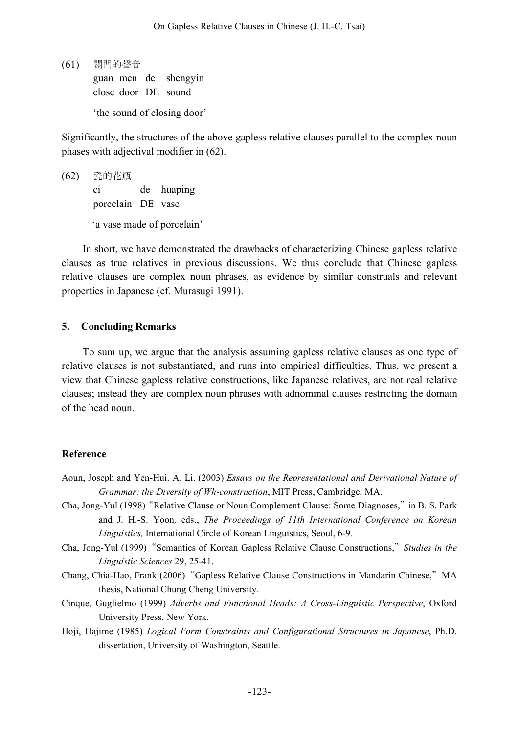(61) 關門的聲音

guan men de shengyin close door DE sound

'the sound of closing door'

Significantly, the structures of the above gapless relative clauses parallel to the complex noun phases with adjectival modifier in (62).

(62) 瓷的花瓶 ci de huaping porcelain DE vase 'a vase made of porcelain'

In short, we have demonstrated the drawbacks of characterizing Chinese gapless relative clauses as true relatives in previous discussions. We thus conclude that Chinese gapless relative clauses are complex noun phrases, as evidence by similar construals and relevant properties in Japanese (cf. Murasugi 1991).

### **5. Concluding Remarks**

To sum up, we argue that the analysis assuming gapless relative clauses as one type of relative clauses is not substantiated, and runs into empirical difficulties. Thus, we present a view that Chinese gapless relative constructions, like Japanese relatives, are not real relative clauses; instead they are complex noun phrases with adnominal clauses restricting the domain of the head noun.

### **Reference**

- Aoun, Joseph and Yen-Hui. A. Li. (2003) *Essays on the Representational and Derivational Nature of Grammar: the Diversity of Wh-construction*, MIT Press, Cambridge, MA.
- Cha, Jong-Yul (1998)"Relative Clause or Noun Complement Clause: Some Diagnoses,"in B. S. Park and J. H.-S. Yoon*,* eds., *The Proceedings of 11th International Conference on Korean Linguistics,* International Circle of Korean Linguistics, Seoul, 6-9.
- Cha, Jong-Yul (1999)"Semantics of Korean Gapless Relative Clause Constructions,"*Studies in the Linguistic Sciences* 29, 25-41.
- Chang, Chia-Hao, Frank (2006) "Gapless Relative Clause Constructions in Mandarin Chinese," MA thesis, National Chung Cheng University.
- Cinque, Guglielmo (1999) *Adverbs and Functional Heads: A Cross-Linguistic Perspective*, Oxford University Press, New York.
- Hoji, Hajime (1985) *Logical Form Constraints and Configurational Structures in Japanese*, Ph.D. dissertation, University of Washington, Seattle.